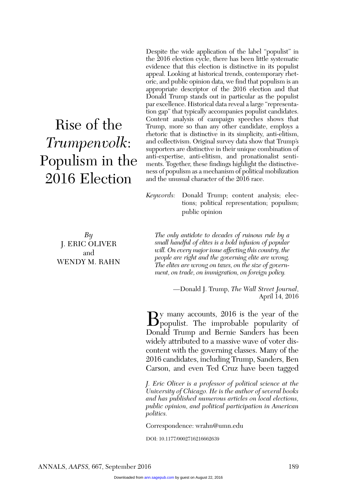# Rise of the *Trumpenvolk*: Populism in the 2016 Election

*By* J. Eric Oliver and WENDY M. RAHN Despite the wide application of the label "populist" in the 2016 election cycle, there has been little systematic evidence that this election is distinctive in its populist appeal. Looking at historical trends, contemporary rhetoric, and public opinion data, we find that populism is an appropriate descriptor of the 2016 election and that Donald Trump stands out in particular as the populist par excellence. Historical data reveal a large "representation gap" that typically accompanies populist candidates. Content analysis of campaign speeches shows that Trump, more so than any other candidate, employs a rhetoric that is distinctive in its simplicity, anti-elitism, and collectivism. Original survey data show that Trump's supporters are distinctive in their unique combination of anti-expertise, anti-elitism, and pronationalist sentiments. Together, these findings highlight the distinctiveness of populism as a mechanism of political mobilization and the unusual character of the 2016 race.

*Keywords:* Donald Trump; content analysis; elections; political representation; populism; public opinion

*The only antidote to decades of ruinous rule by a small handful of elites is a bold infusion of popular will. On every major issue affecting this country, the people are right and the governing elite are wrong. The elites are wrong on taxes, on the size of government, on trade, on immigration, on foreign policy.*

> —Donald J. Trump, *The Wall Street Journal*, April 14, 2016

By many accounts, 2016 is the year of the popularity of popularity of Donald Trump and Bernie Sanders has been widely attributed to a massive wave of voter discontent with the governing classes. Many of the 2016 candidates, including Trump, Sanders, Ben Carson, and even Ted Cruz have been tagged

*J. Eric Oliver is a professor of political science at the University of Chicago. He is the author of several books and has published numerous articles on local elections, public opinion, and political participation in American politics.*

Correspondence: wrahn@umn.edu

DOI: 10.1177/0002716216662639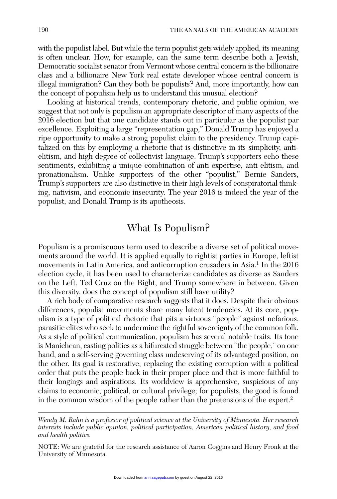with the populist label. But while the term populist gets widely applied, its meaning is often unclear. How, for example, can the same term describe both a Jewish, Democratic socialist senator from Vermont whose central concern is the billionaire class and a billionaire New York real estate developer whose central concern is illegal immigration? Can they both be populists? And, more importantly, how can the concept of populism help us to understand this unusual election?

Looking at historical trends, contemporary rhetoric, and public opinion, we suggest that not only is populism an appropriate descriptor of many aspects of the 2016 election but that one candidate stands out in particular as the populist par excellence. Exploiting a large "representation gap," Donald Trump has enjoyed a ripe opportunity to make a strong populist claim to the presidency. Trump capitalized on this by employing a rhetoric that is distinctive in its simplicity, antielitism, and high degree of collectivist language. Trump's supporters echo these sentiments, exhibiting a unique combination of anti-expertise, anti-elitism, and pronationalism. Unlike supporters of the other "populist," Bernie Sanders, Trump's supporters are also distinctive in their high levels of conspiratorial thinking, nativism, and economic insecurity. The year 2016 is indeed the year of the populist, and Donald Trump is its apotheosis.

#### What Is Populism?

Populism is a promiscuous term used to describe a diverse set of political movements around the world. It is applied equally to rightist parties in Europe, leftist movements in Latin America, and anticorruption crusaders in Asia.<sup>1</sup> In the 2016 election cycle, it has been used to characterize candidates as diverse as Sanders on the Left, Ted Cruz on the Right, and Trump somewhere in between. Given this diversity, does the concept of populism still have utility?

A rich body of comparative research suggests that it does. Despite their obvious differences, populist movements share many latent tendencies. At its core, populism is a type of political rhetoric that pits a virtuous "people" against nefarious, parasitic elites who seek to undermine the rightful sovereignty of the common folk. As a style of political communication, populism has several notable traits. Its tone is Manichean, casting politics as a bifurcated struggle between "the people," on one hand, and a self-serving governing class undeserving of its advantaged position, on the other. Its goal is restorative, replacing the existing corruption with a political order that puts the people back in their proper place and that is more faithful to their longings and aspirations. Its worldview is apprehensive, suspicious of any claims to economic, political, or cultural privilege; for populists, the good is found in the common wisdom of the people rather than the pretensions of the expert.2

*Wendy M. Rahn is a professor of political science at the University of Minnesota. Her research interests include public opinion, political participation, American political history, and food and health politics.*

NOTE: We are grateful for the research assistance of Aaron Coggins and Henry Fronk at the University of Minnesota.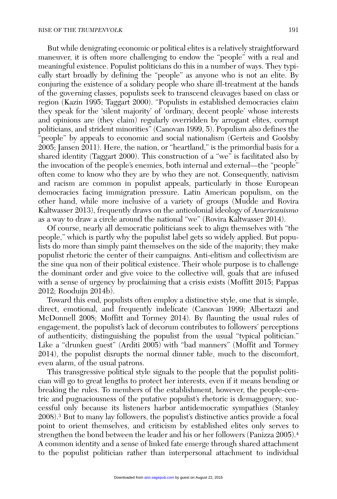But while denigrating economic or political elites is a relatively straightforward maneuver, it is often more challenging to endow the "people" with a real and meaningful existence. Populist politicians do this in a number of ways. They typically start broadly by defining the "people" as anyone who is not an elite. By conjuring the existence of a solidary people who share ill-treatment at the hands of the governing classes, populists seek to transcend cleavages based on class or region (Kazin 1995; Taggart 2000). "Populists in established democracies claim they speak for the 'silent majority' of 'ordinary, decent people' whose interests and opinions are (they claim) regularly overridden by arrogant elites, corrupt politicians, and strident minorities" (Canovan 1999, 5). Populism also defines the "people" by appeals to economic and social nationalism (Gerteis and Goolsby 2005; Jansen 2011). Here, the nation, or "heartland," is the primordial basis for a shared identity (Taggart 2000). This construction of a "we" is facilitated also by the invocation of the people's enemies, both internal and external—the "people" often come to know who they are by who they are not. Consequently, nativism and racism are common in populist appeals, particularly in those European democracies facing immigration pressure. Latin American populism, on the other hand, while more inclusive of a variety of groups (Mudde and Rovira Kaltwasser 2013), frequently draws on the anticolonial ideology of *Americanismo* as a way to draw a circle around the national "we" (Rovira Kaltwasser 2014).

Of course, nearly all democratic politicians seek to align themselves with "the people," which is partly why the populist label gets so widely applied. But populists do more than simply paint themselves on the side of the majority; they make populist rhetoric the center of their campaigns. Anti-elitism and collectivism are the sine qua non of their political existence. Their whole purpose is to challenge the dominant order and give voice to the collective will, goals that are infused with a sense of urgency by proclaiming that a crisis exists (Moffitt 2015; Pappas 2012; Rooduijn 2014b).

Toward this end, populists often employ a distinctive style, one that is simple, direct, emotional, and frequently indelicate (Canovan 1999; Albertazzi and McDonnell 2008; Moffitt and Tormey 2014). By flaunting the usual rules of engagement, the populist's lack of decorum contributes to followers' perceptions of authenticity, distinguishing the populist from the usual "typical politician." Like a "drunken guest" (Arditi 2005) with "bad manners" (Moffit and Tormey 2014), the populist disrupts the normal dinner table, much to the discomfort, even alarm, of the usual patrons.

This transgressive political style signals to the people that the populist politician will go to great lengths to protect her interests, even if it means bending or breaking the rules. To members of the establishment, however, the people-centric and pugnaciousness of the putative populist's rhetoric is demagoguery, successful only because its listeners harbor antidemocratic sympathies (Stanley 2008).3 But to many lay followers, the populist's distinctive antics provide a focal point to orient themselves, and criticism by established elites only serves to strengthen the bond between the leader and his or her followers (Panizza 2005).4 A common identity and a sense of linked fate emerge through shared attachment to the populist politician rather than interpersonal attachment to individual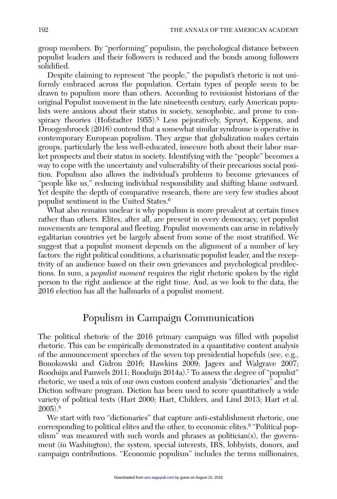group members. By "performing" populism, the psychological distance between populist leaders and their followers is reduced and the bonds among followers solidified.

Despite claiming to represent "the people," the populist's rhetoric is not uniformly embraced across the population. Certain types of people seem to be drawn to populism more than others. According to revisionist historians of the original Populist movement in the late nineteenth century, early American populists were anxious about their status in society, xenophobic, and prone to conspiracy theories (Hofstadter 1955).<sup>5</sup> Less pejoratively, Spruyt, Keppens, and Droogenbroeck (2016) contend that a somewhat similar syndrome is operative in contemporary European populism. They argue that globalization makes certain groups, particularly the less well-educated, insecure both about their labor market prospects and their status in society. Identifying with the "people" becomes a way to cope with the uncertainty and vulnerability of their precarious social position. Populism also allows the individual's problems to become grievances of "people like us," reducing individual responsibility and shifting blame outward. Yet despite the depth of comparative research, there are very few studies about populist sentiment in the United States.6

What also remains unclear is why populism is more prevalent at certain times rather than others. Elites, after all, are present in every democracy, yet populist movements are temporal and fleeting. Populist movements can arise in relatively egalitarian countries yet be largely absent from some of the most stratified. We suggest that a populist moment depends on the alignment of a number of key factors: the right political conditions, a charismatic populist leader, and the receptivity of an audience based on their own grievances and psychological predilections. In sum, a *populist moment* requires the right rhetoric spoken by the right person to the right audience at the right time. And, as we look to the data, the 2016 election has all the hallmarks of a populist moment.

#### Populism in Campaign Communication

The political rhetoric of the 2016 primary campaign was filled with populist rhetoric. This can be empirically demonstrated in a quantitative content analysis of the announcement speeches of the seven top presidential hopefuls (see, e.g., Bonokowski and Gidron 2016; Hawkins 2009; Jagers and Walgrave 2007; Rooduijn and Pauwels 2011; Rooduijn 2014a).7 To assess the degree of "populist" rhetoric, we used a mix of our own custom content analysis "dictionaries" and the Diction software program. Diction has been used to score quantitatively a wide variety of political texts (Hart 2000; Hart, Childers, and Lind 2013; Hart et al. 2005).8

We start with two "dictionaries" that capture anti-establishment rhetoric, one corresponding to political elites and the other, to economic elites.9 "Political populism" was measured with such words and phrases as politician(s), the government (in Washington), the system, special interests, IRS, lobbyists, donors, and campaign contributions. "Economic populism" includes the terms millionaires,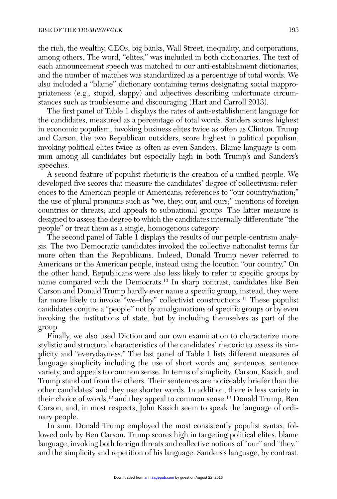the rich, the wealthy, CEOs, big banks, Wall Street, inequality, and corporations, among others. The word, "elites," was included in both dictionaries. The text of each announcement speech was matched to our anti-establishment dictionaries, and the number of matches was standardized as a percentage of total words. We also included a "blame" dictionary containing terms designating social inappropriateness (e.g., stupid, sloppy) and adjectives describing unfortunate circumstances such as troublesome and discouraging (Hart and Carroll 2013).

The first panel of Table 1 displays the rates of anti-establishment language for the candidates, measured as a percentage of total words. Sanders scores highest in economic populism, invoking business elites twice as often as Clinton. Trump and Carson, the two Republican outsiders, score highest in political populism, invoking political elites twice as often as even Sanders. Blame language is common among all candidates but especially high in both Trump's and Sanders's speeches.

A second feature of populist rhetoric is the creation of a unified people. We developed five scores that measure the candidates' degree of collectivism: references to the American people or Americans; references to "our country/nation;" the use of plural pronouns such as "we, they, our, and ours;" mentions of foreign countries or threats; and appeals to subnational groups. The latter measure is designed to assess the degree to which the candidates internally differentiate "the people" or treat them as a single, homogenous category.

The second panel of Table 1 displays the results of our people-centrism analysis. The two Democratic candidates invoked the collective nationalist terms far more often than the Republicans. Indeed, Donald Trump never referred to Americans or the American people, instead using the locution "our country." On the other hand, Republicans were also less likely to refer to specific groups by name compared with the Democrats.<sup>10</sup> In sharp contrast, candidates like Ben Carson and Donald Trump hardly ever name a specific group; instead, they were far more likely to invoke "we–they" collectivist constructions.11 These populist candidates conjure a "people" not by amalgamations of specific groups or by even invoking the institutions of state, but by including themselves as part of the group.

Finally, we also used Diction and our own examination to characterize more stylistic and structural characteristics of the candidates' rhetoric to assess its simplicity and "everydayness." The last panel of Table 1 lists different measures of language simplicity including the use of short words and sentences, sentence variety, and appeals to common sense. In terms of simplicity, Carson, Kasich, and Trump stand out from the others. Their sentences are noticeably briefer than the other candidates' and they use shorter words. In addition, there is less variety in their choice of words,<sup>12</sup> and they appeal to common sense.<sup>13</sup> Donald Trump, Ben Carson, and, in most respects, John Kasich seem to speak the language of ordinary people.

In sum, Donald Trump employed the most consistently populist syntax, followed only by Ben Carson. Trump scores high in targeting political elites, blame language, invoking both foreign threats and collective notions of "our" and "they," and the simplicity and repetition of his language. Sanders's language, by contrast,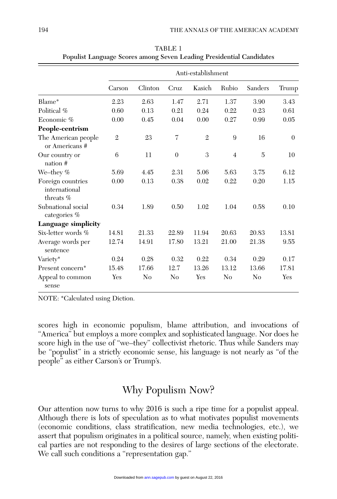|                                                   | Anti-establishment |          |                |                |                |                |          |
|---------------------------------------------------|--------------------|----------|----------------|----------------|----------------|----------------|----------|
|                                                   | Carson             | Clinton  | Cruz           | Kasich         | Rubio          | Sanders        | Trump    |
| Blame <sup>®</sup>                                | 2.23               | 2.63     | 1.47           | 2.71           | 1.37           | 3.90           | 3.43     |
| Political %                                       | 0.60               | 0.13     | 0.21           | 0.24           | 0.22           | 0.23           | 0.61     |
| Economic %                                        | 0.00               | 0.45     | 0.04           | 0.00           | $0.27\,$       | 0.99           | 0.05     |
| People-centrism                                   |                    |          |                |                |                |                |          |
| The American people<br>or Americans #             | $\overline{2}$     | 23       | 7              | $\mathfrak{2}$ | 9              | 16             | $\theta$ |
| Our country or<br>nation #                        | 6                  | 11       | $\overline{0}$ | 3              | $\overline{4}$ | 5              | 10       |
| We-they %                                         | 5.69               | 4.45     | 2.31           | 5.06           | 5.63           | 3.75           | 6.12     |
| Foreign countries<br>international<br>threats $%$ | 0.00               | 0.13     | 0.38           | 0.02           | 0.22           | 0.20           | 1.15     |
| Subnational social<br>categories %                | 0.34               | 1.89     | 0.50           | 1.02           | 1.04           | 0.58           | 0.10     |
| Language simplicity                               |                    |          |                |                |                |                |          |
| Six-letter words $\%$                             | 14.81              | 21.33    | 22.89          | 11.94          | 20.63          | 20.83          | 13.81    |
| Average words per<br>sentence                     | 12.74              | 14.91    | 17.80          | 13.21          | 21.00          | 21.38          | 9.55     |
| Variety <sup>®</sup>                              | 0.24               | 0.28     | 0.32           | 0.22           | 0.34           | 0.29           | 0.17     |
| Present concern <sup>*</sup>                      | 15.48              | 17.66    | 12.7           | 13.26          | 13.12          | 13.66          | 17.81    |
| Appeal to common<br>sense                         | Yes                | $\rm No$ | No             | Yes            | N <sub>0</sub> | N <sub>0</sub> | Yes      |

TABLE 1 Populist Language Scores among Seven Leading Presidential Candidates

NOTE: \*Calculated using Diction.

scores high in economic populism, blame attribution, and invocations of "America" but employs a more complex and sophisticated language. Nor does he score high in the use of "we–they" collectivist rhetoric. Thus while Sanders may be "populist" in a strictly economic sense, his language is not nearly as "of the people" as either Carson's or Trump's.

## Why Populism Now?

Our attention now turns to why 2016 is such a ripe time for a populist appeal. Although there is lots of speculation as to what motivates populist movements (economic conditions, class stratification, new media technologies, etc.), we assert that populism originates in a political source, namely, when existing political parties are not responding to the desires of large sections of the electorate. We call such conditions a "representation gap."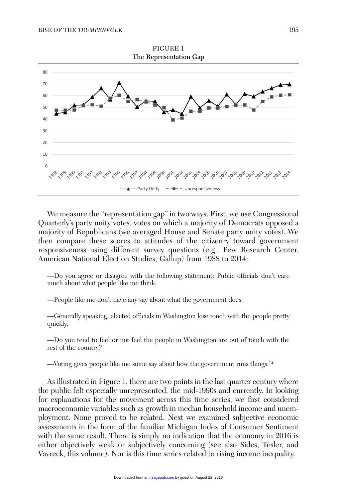FIGURE 1 The Representation Gap



We measure the "representation gap" in two ways. First, we use Congressional Quarterly's party unity votes, votes on which a majority of Democrats opposed a majority of Republicans (we averaged House and Senate party unity votes). We then compare these scores to attitudes of the citizenry toward government responsiveness using different survey questions (e.g., Pew Research Center, American National Election Studies, Gallup) from 1988 to 2014:

—Do you agree or disagree with the following statement: Public officials don't care much about what people like me think.

—People like me don't have any say about what the government does.

—Generally speaking, elected officials in Washington lose touch with the people pretty quickly.

—Do you tend to feel or not feel the people in Washington are out of touch with the rest of the country?

—Voting gives people like me some say about how the government runs things.14

As illustrated in Figure 1, there are two points in the last quarter century where the public felt especially unrepresented, the mid-1990s and currently. In looking for explanations for the movement across this time series, we first considered macroeconomic variables such as growth in median household income and unemployment. None proved to be related. Next we examined subjective economic assessments in the form of the familiar Michigan Index of Consumer Sentiment with the same result. There is simply no indication that the economy in 2016 is either objectively weak or subjectively concerning (see also Sides, Tesler, and Vavreck, this volume). Nor is this time series related to rising income inequality.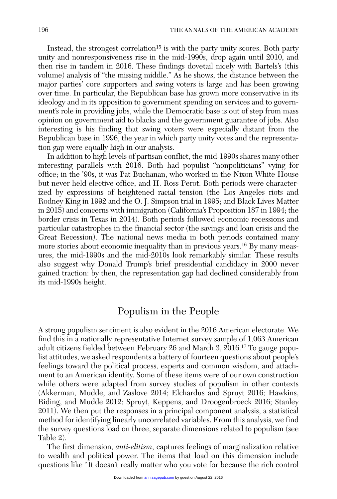Instead, the strongest correlation<sup>15</sup> is with the party unity scores. Both party unity and nonresponsiveness rise in the mid-1990s, drop again until 2010, and then rise in tandem in 2016. These findings dovetail nicely with Bartels's (this volume) analysis of "the missing middle." As he shows, the distance between the major parties' core supporters and swing voters is large and has been growing over time. In particular, the Republican base has grown more conservative in its ideology and in its opposition to government spending on services and to government's role in providing jobs, while the Democratic base is out of step from mass opinion on government aid to blacks and the government guarantee of jobs. Also interesting is his finding that swing voters were especially distant from the Republican base in 1996, the year in which party unity votes and the representation gap were equally high in our analysis.

In addition to high levels of partisan conflict, the mid-1990s shares many other interesting parallels with 2016. Both had populist "nonpoliticians" vying for office; in the '90s, it was Pat Buchanan, who worked in the Nixon White House but never held elective office, and H. Ross Perot. Both periods were characterized by expressions of heightened racial tension (the Los Angeles riots and Rodney King in 1992 and the O. J. Simpson trial in 1995; and Black Lives Matter in 2015) and concerns with immigration (California's Proposition 187 in 1994; the border crisis in Texas in 2014). Both periods followed economic recessions and particular catastrophes in the financial sector (the savings and loan crisis and the Great Recession). The national news media in both periods contained many more stories about economic inequality than in previous years.<sup>16</sup> By many measures, the mid-1990s and the mid-2010s look remarkably similar. These results also suggest why Donald Trump's brief presidential candidacy in 2000 never gained traction: by then, the representation gap had declined considerably from its mid-1990s height.

### Populism in the People

A strong populism sentiment is also evident in the 2016 American electorate. We find this in a nationally representative Internet survey sample of 1,063 American adult citizens fielded between February 26 and March 3, 2016.17 To gauge populist attitudes, we asked respondents a battery of fourteen questions about people's feelings toward the political process, experts and common wisdom, and attachment to an American identity. Some of these items were of our own construction while others were adapted from survey studies of populism in other contexts (Akkerman, Mudde, and Zaslove 2014; Elchardus and Spruyt 2016; Hawkins, Riding, and Mudde 2012; Spruyt, Keppens, and Droogenbroeck 2016; Stanley 2011). We then put the responses in a principal component analysis, a statistical method for identifying linearly uncorrelated variables. From this analysis, we find the survey questions load on three, separate dimensions related to populism (see Table 2).

The first dimension, *anti-elitism*, captures feelings of marginalization relative to wealth and political power. The items that load on this dimension include questions like "It doesn't really matter who you vote for because the rich control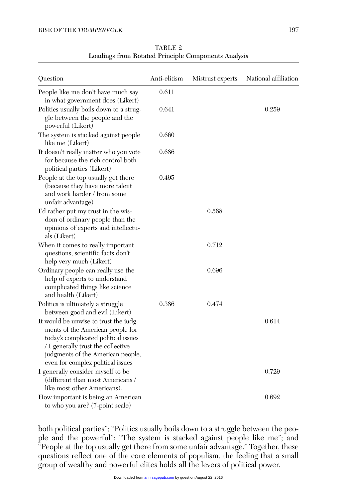| Question                                                                                                                                                                                                                          | Anti-elitism | Mistrust experts | National affiliation |
|-----------------------------------------------------------------------------------------------------------------------------------------------------------------------------------------------------------------------------------|--------------|------------------|----------------------|
| People like me don't have much say<br>in what government does (Likert)                                                                                                                                                            | 0.611        |                  |                      |
| Politics usually boils down to a strug-<br>gle between the people and the<br>powerful (Likert)                                                                                                                                    | 0.641        |                  | 0.259                |
| The system is stacked against people<br>like me (Likert)                                                                                                                                                                          | 0.660        |                  |                      |
| It doesn't really matter who you vote<br>for because the rich control both<br>political parties (Likert)                                                                                                                          | 0.686        |                  |                      |
| People at the top usually get there<br>(because they have more talent<br>and work harder / from some<br>unfair advantage)                                                                                                         | 0.495        |                  |                      |
| I'd rather put my trust in the wis-<br>dom of ordinary people than the<br>opinions of experts and intellectu-<br>als (Likert)                                                                                                     |              | 0.568            |                      |
| When it comes to really important<br>questions, scientific facts don't<br>help very much (Likert)                                                                                                                                 |              | 0.712            |                      |
| Ordinary people can really use the<br>help of experts to understand<br>complicated things like science<br>and health (Likert)                                                                                                     |              | 0.696            |                      |
| Politics is ultimately a struggle<br>between good and evil (Likert)                                                                                                                                                               | 0.386        | 0.474            |                      |
| It would be unwise to trust the judg-<br>ments of the American people for<br>today's complicated political issues<br>/ I generally trust the collective<br>judgments of the American people,<br>even for complex political issues |              |                  | 0.614                |
| I generally consider myself to be<br>(different than most Americans /<br>like most other Americans).                                                                                                                              |              |                  | 0.729                |
| How important is being an American<br>to who you are? (7-point scale)                                                                                                                                                             |              |                  | 0.692                |

Table 2 Loadings from Rotated Principle Components Analysis

both political parties"; "Politics usually boils down to a struggle between the people and the powerful"; "The system is stacked against people like me"; and "People at the top usually get there from some unfair advantage." Together, these questions reflect one of the core elements of populism, the feeling that a small group of wealthy and powerful elites holds all the levers of political power.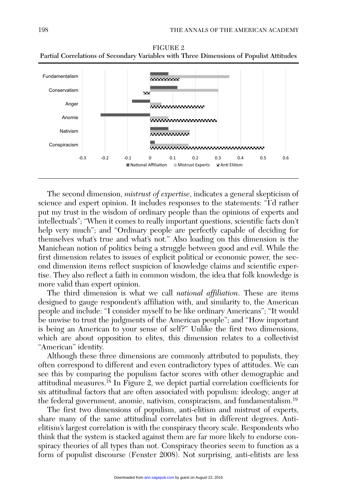

Figure 2 Partial Correlations of Secondary Variables with Three Dimensions of Populist Attitudes

The second dimension, *mistrust of expertise*, indicates a general skepticism of science and expert opinion. It includes responses to the statements: "I'd rather put my trust in the wisdom of ordinary people than the opinions of experts and intellectuals"; "When it comes to really important questions, scientific facts don't help very much"; and "Ordinary people are perfectly capable of deciding for themselves what's true and what's not." Also loading on this dimension is the Manichean notion of politics being a struggle between good and evil. While the first dimension relates to issues of explicit political or economic power, the second dimension items reflect suspicion of knowledge claims and scientific expertise. They also reflect a faith in common wisdom, the idea that folk knowledge is more valid than expert opinion.

The third dimension is what we call *national affiliation*. These are items designed to gauge respondent's affiliation with, and similarity to, the American people and include: "I consider myself to be like ordinary Americans"; "It would be unwise to trust the judgments of the American people"; and "How important is being an American to your sense of self?" Unlike the first two dimensions, which are about opposition to elites, this dimension relates to a collectivist "American" identity.

Although these three dimensions are commonly attributed to populists, they often correspond to different and even contradictory types of attitudes. We can see this by comparing the populism factor scores with other demographic and attitudinal measures.18 In Figure 2, we depict partial correlation coefficients for six attitudinal factors that are often associated with populism: ideology, anger at the federal government, anomie, nativism, conspiracism, and fundamentalism.19

The first two dimensions of populism, anti-elitism and mistrust of experts, share many of the same attitudinal correlates but in different degrees. Antielitism's largest correlation is with the conspiracy theory scale. Respondents who think that the system is stacked against them are far more likely to endorse conspiracy theories of all types than not. Conspiracy theories seem to function as a form of populist discourse (Fenster 2008). Not surprising, anti-elitists are less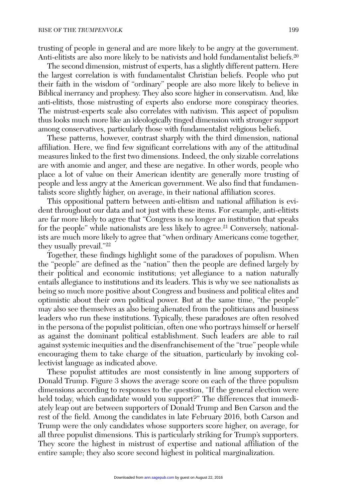trusting of people in general and are more likely to be angry at the government. Anti-elitists are also more likely to be nativists and hold fundamentalist beliefs.<sup>20</sup>

The second dimension, mistrust of experts, has a slightly different pattern. Here the largest correlation is with fundamentalist Christian beliefs. People who put their faith in the wisdom of "ordinary" people are also more likely to believe in Biblical inerrancy and prophesy. They also score higher in conservatism. And, like anti-elitists, those mistrusting of experts also endorse more conspiracy theories. The mistrust-experts scale also correlates with nativism. This aspect of populism thus looks much more like an ideologically tinged dimension with stronger support among conservatives, particularly those with fundamentalist religious beliefs.

These patterns, however, contrast sharply with the third dimension, national affiliation. Here, we find few significant correlations with any of the attitudinal measures linked to the first two dimensions. Indeed, the only sizable correlations are with anomie and anger, and these are negative. In other words, people who place a lot of value on their American identity are generally more trusting of people and less angry at the American government. We also find that fundamentalists score slightly higher, on average, in their national affiliation scores.

This oppositional pattern between anti-elitism and national affiliation is evident throughout our data and not just with these items. For example, anti-elitists are far more likely to agree that "Congress is no longer an institution that speaks for the people" while nationalists are less likely to agree.<sup>21</sup> Conversely, nationalists are much more likely to agree that "when ordinary Americans come together, they usually prevail."22

Together, these findings highlight some of the paradoxes of populism. When the "people" are defined as the "nation" then the people are defined largely by their political and economic institutions; yet allegiance to a nation naturally entails allegiance to institutions and its leaders. This is why we see nationalists as being so much more positive about Congress and business and political elites and optimistic about their own political power. But at the same time, "the people" may also see themselves as also being alienated from the politicians and business leaders who run these institutions. Typically, these paradoxes are often resolved in the persona of the populist politician, often one who portrays himself or herself as against the dominant political establishment. Such leaders are able to rail against systemic inequities and the disenfranchisement of the "true" people while encouraging them to take charge of the situation, particularly by invoking collectivist language as indicated above.

These populist attitudes are most consistently in line among supporters of Donald Trump. Figure 3 shows the average score on each of the three populism dimensions according to responses to the question, "If the general election were held today, which candidate would you support?" The differences that immediately leap out are between supporters of Donald Trump and Ben Carson and the rest of the field. Among the candidates in late February 2016, both Carson and Trump were the only candidates whose supporters score higher, on average, for all three populist dimensions. This is particularly striking for Trump's supporters. They score the highest in mistrust of expertise and national affiliation of the entire sample; they also score second highest in political marginalization.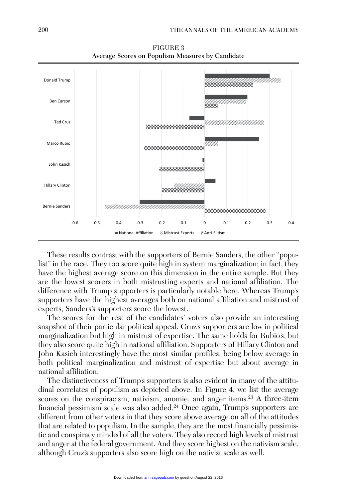

FIGURE 3 Average Scores on Populism Measures by Candidate

These results contrast with the supporters of Bernie Sanders, the other "populist" in the race. They too score quite high in system marginalization; in fact, they have the highest average score on this dimension in the entire sample. But they are the lowest scorers in both mistrusting experts and national affiliation. The difference with Trump supporters is particularly notable here. Whereas Trump's supporters have the highest averages both on national affiliation and mistrust of experts, Sanders's supporters score the lowest.

The scores for the rest of the candidates' voters also provide an interesting snapshot of their particular political appeal. Cruz's supporters are low in political marginalization but high in mistrust of expertise. The same holds for Rubio's, but they also score quite high in national affiliation. Supporters of Hillary Clinton and John Kasich interestingly have the most similar profiles, being below average in both political marginalization and mistrust of expertise but about average in national affiliation.

The distinctiveness of Trump's supporters is also evident in many of the attitudinal correlates of populism as depicted above. In Figure 4, we list the average scores on the conspiracism, nativism, anomie, and anger items.<sup>23</sup> A three-item financial pessimism scale was also added.24 Once again, Trump's supporters are different from other voters in that they score above average on all of the attitudes that are related to populism. In the sample, they are the most financially pessimistic and conspiracy minded of all the voters. They also record high levels of mistrust and anger at the federal government. And they score highest on the nativism scale, although Cruz's supporters also score high on the nativist scale as well.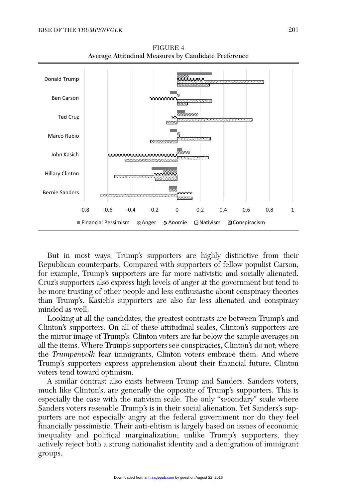

FIGURE 4 Average Attitudinal Measures by Candidate Preference

But in most ways, Trump's supporters are highly distinctive from their Republican counterparts. Compared with supporters of fellow populist Carson, for example, Trump's supporters are far more nativistic and socially alienated. Cruz's supporters also express high levels of anger at the government but tend to be more trusting of other people and less enthusiastic about conspiracy theories than Trump's. Kasich's supporters are also far less alienated and conspiracy minded as well.

Looking at all the candidates, the greatest contrasts are between Trump's and Clinton's supporters. On all of these attitudinal scales, Clinton's supporters are the mirror image of Trump's. Clinton voters are far below the sample averages on all the items. Where Trump's supporters see conspiracies, Clinton's do not; where the *Trumpenvolk* fear immigrants, Clinton voters embrace them. And where Trump's supporters express apprehension about their financial future, Clinton voters tend toward optimism.

A similar contrast also exists between Trump and Sanders. Sanders voters, much like Clinton's, are generally the opposite of Trump's supporters. This is especially the case with the nativism scale. The only "secondary" scale where Sanders voters resemble Trump's is in their social alienation. Yet Sanders's supporters are not especially angry at the federal government nor do they feel financially pessimistic. Their anti-elitism is largely based on issues of economic inequality and political marginalization; unlike Trump's supporters, they actively reject both a strong nationalist identity and a denigration of immigrant groups.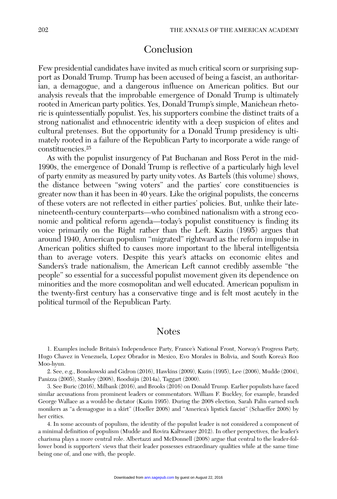#### Conclusion

Few presidential candidates have invited as much critical scorn or surprising support as Donald Trump. Trump has been accused of being a fascist, an authoritarian, a demagogue, and a dangerous influence on American politics. But our analysis reveals that the improbable emergence of Donald Trump is ultimately rooted in American party politics. Yes, Donald Trump's simple, Manichean rhetoric is quintessentially populist. Yes, his supporters combine the distinct traits of a strong nationalist and ethnocentric identity with a deep suspicion of elites and cultural pretenses. But the opportunity for a Donald Trump presidency is ultimately rooted in a failure of the Republican Party to incorporate a wide range of constituencies.25

As with the populist insurgency of Pat Buchanan and Ross Perot in the mid-1990s, the emergence of Donald Trump is reflective of a particularly high level of party enmity as measured by party unity votes. As Bartels (this volume) shows, the distance between "swing voters" and the parties' core constituencies is greater now than it has been in 40 years. Like the original populists, the concerns of these voters are not reflected in either parties' policies. But, unlike their latenineteenth-century counterparts—who combined nationalism with a strong economic and political reform agenda—today's populist constituency is finding its voice primarily on the Right rather than the Left. Kazin (1995) argues that around 1940, American populism "migrated" rightward as the reform impulse in American politics shifted to causes more important to the liberal intelligentsia than to average voters. Despite this year's attacks on economic elites and Sanders's trade nationalism, the American Left cannot credibly assemble "the people" so essential for a successful populist movement given its dependence on minorities and the more cosmopolitan and well educated. American populism in the twenty-first century has a conservative tinge and is felt most acutely in the political turmoil of the Republican Party.

#### **Notes**

1. Examples include Britain's Independence Party, France's National Front, Norway's Progress Party, Hugo Chavez in Venezuela, Lopez Obrador in Mexico, Evo Morales in Bolivia, and South Korea's Roo Moo-hyun.

2. See, e.g., Bonokowski and Gidron (2016), Hawkins (2009), Kazin (1995), Lee (2006), Mudde (2004), Panizza (2005), Stanley (2008), Rooduijn (2014a), Taggart (2000).

3. See Buric (2016), Milbank (2016), and Brooks (2016) on Donald Trump. Earlier populists have faced similar accusations from prominent leaders or commentators. William F. Buckley, for example, branded George Wallace as a would-be dictator (Kazin 1995). During the 2008 election, Sarah Palin earned such monikers as "a demagogue in a skirt" (Hoeller 2008) and "America's lipstick fascist" (Schaeffer 2008) by her critics.

4. In some accounts of populism, the identity of the populist leader is not considered a component of a minimal definition of populism (Mudde and Rovira Kaltwasser 2012). In other perspectives, the leader's charisma plays a more central role. Albertazzi and McDonnell (2008) argue that central to the leader-follower bond is supporters' views that their leader possesses extraordinary qualities while at the same time being one of, and one with, the people.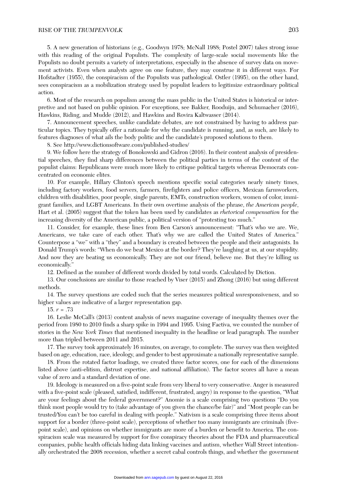#### Rise of the *Trumpenvolk* 203

5. A new generation of historians (e.g., Goodwyn 1978; McNall 1988; Postel 2007) takes strong issue with this reading of the original Populists. The complexity of large-scale social movements like the Populists no doubt permits a variety of interpretations, especially in the absence of survey data on movement activists. Even when analysts agree on one feature, they may construe it in different ways. For Hofstadter (1955), the conspiracism of the Populists was pathological. Ostler (1995), on the other hand, sees conspiracism as a mobilization strategy used by populist leaders to legitimize extraordinary political action.

6. Most of the research on populism among the mass public in the United States is historical or interpretive and not based on public opinion. For exceptions, see Bakker, Rooduijn, and Schumacher (2016), Hawkins, Riding, and Mudde (2012), and Hawkins and Rovira Kaltwasser (2014).

7. Announcement speeches, unlike candidate debates, are not constrained by having to address particular topics. They typically offer a rationale for why the candidate is running, and, as such, are likely to features diagnoses of what ails the body politic and the candidate's proposed solutions to them.

8. See http://www.dictionsoftware.com/published-studies/

9. We follow here the strategy of Bonokowski and Gidron (2016). In their content analysis of presidential speeches, they find sharp differences between the political parties in terms of the content of the populist claims: Republicans were much more likely to critique political targets whereas Democrats concentrated on economic elites.

10. For example, Hillary Clinton's speech mentions specific social categories nearly ninety times, including factory workers, food servers, farmers, firefighters and police officers, Mexican farmworkers, children with disabilities, poor people, single parents, EMTs, construction workers, women of color, immigrant families, and LGBT Americans. In their own overtime analysis of the phrase, *the American people*, Hart et al. (2005) suggest that the token has been used by candidates as *rhetorical compensation* for the increasing diversity of the American public, a political version of "protesting too much."

11. Consider, for example, these lines from Ben Carson's announcement: "That's who we are. We, Americans, we take care of each other. That's why we are called the United States of America." Counterpose a "we" with a "they" and a boundary is created between the people and their antagonists. In Donald Trump's words: "When do we beat Mexico at the border? They're laughing at us, at our stupidity. And now they are beating us economically. They are not our friend, believe me. But they're killing us economically."

12. Defined as the number of different words divided by total words. Calculated by Diction.

13. Our conclusions are similar to those reached by Viser (2015) and Zhong (2016) but using different methods.

14. The survey questions are coded such that the series measures political *un*responsiveness, and so higher values are indicative of a larger representation gap.

15.  $r = .73$ 

16. Leslie McCall's (2013) content analysis of news magazine coverage of inequality themes over the period from 1980 to 2010 finds a sharp spike in 1994 and 1995. Using Factiva, we counted the number of stories in the *New York Times* that mentioned inequality in the headline or lead paragraph. The number more than tripled between 2011 and 2015.

17. The survey took approximately 16 minutes, on average, to complete. The survey was then weighted based on age, education, race, ideology, and gender to best approximate a nationally representative sample.

18. From the rotated factor loadings, we created three factor scores, one for each of the dimensions listed above (anti-elitism, distrust expertise, and national affiliation). The factor scores all have a mean value of zero and a standard deviation of one.

19. Ideology is measured on a five-point scale from very liberal to very conservative. Anger is measured with a five-point scale (pleased, satisfied, indifferent, frustrated, angry) in response to the question, "What are your feelings about the federal government?" Anomie is a scale comprising two questions "Do you think most people would try to (take advantage of you given the chance/be fair)" and "Most people can be trusted/You can't be too careful in dealing with people." Nativism is a scale comprising three items about support for a border (three-point scale), perceptions of whether too many immigrants are criminals (fivepoint scale), and opinions on whether immigrants are more of a burden or benefit to America. The conspiracism scale was measured by support for five conspiracy theories about the FDA and pharmaceutical companies, public health officials hiding data linking vaccines and autism, whether Wall Street intentionally orchestrated the 2008 recession, whether a secret cabal controls things, and whether the government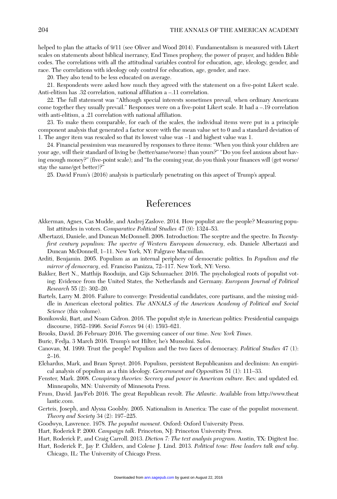helped to plan the attacks of 9/11 (see Oliver and Wood 2014). Fundamentalism is measured with Likert scales on statements about biblical inerrancy, End Times prophesy, the power of prayer, and hidden Bible codes. The correlations with all the attitudinal variables control for education, age, ideology, gender, and race. The correlations with ideology only control for education, age, gender, and race.

20. They also tend to be less educated on average.

21. Respondents were asked how much they agreed with the statement on a five-point Likert scale. Anti-elitism has .32 correlation, national affiliation a –.11 correlation.

22. The full statement was "Although special interests sometimes prevail, when ordinary Americans come together they usually prevail." Responses were on a five-point Likert scale. It had a –.19 correlation with anti-elitism, a .21 correlation with national affiliation.

23. To make them comparable, for each of the scales, the individual items were put in a principle component analysis that generated a factor score with the mean value set to 0 and a standard deviation of 1. The anger item was rescaled so that its lowest value was −1 and highest value was 1.

24. Financial pessimism was measured by responses to three items: "When you think your children are your age, will their standard of living be (better/same/worse) than yours?" "Do you feel anxious about having enough money?" (five-point scale); and "In the coming year, do you think your finances will (get worse/ stay the same/get better)?"

25. David Frum's (2016) analysis is particularly penetrating on this aspect of Trump's appeal.

### References

- Akkerman, Agnes, Cas Mudde, and Andrej Zaslove. 2014. How populist are the people? Measuring populist attitudes in voters. *Comparative Political Studies* 47 (9): 1324–53.
- Albertazzi, Daniele, and Duncan McDonnell. 2008. Introduction: The sceptre and the spectre. In *Twentyfirst century populism: The spectre of Western European democracy*, eds. Daniele Albertazzi and Duncan McDonnell, 1–11. New York, NY: Palgrave Macmillan.
- Arditi, Benjamin. 2005. Populism as an internal periphery of democratic politics. In *Populism and the mirror of democracy*, ed. Franciso Panizza, 72–117. New York, NY: Verso.
- Bakker, Bert N., Matthijs Rooduijn, and Gijs Schumacher. 2016. The psychological roots of populist voting: Evidence from the United States, the Netherlands and Germany. *European Journal of Political Research* 55 (2): 302–20.
- Bartels, Larry M. 2016. Failure to converge: Presidential candidates, core partisans, and the missing middle in American electoral politics. *The ANNALS of the American Academy of Political and Social Science* (this volume).

Bonikowski, Bart, and Noam Gidron. 2016. The populist style in American politics: Presidential campaign discourse, 1952–1996. *Social Forces* 94 (4): 1593–621.

Brooks, David. 26 February 2016. The governing cancer of our time. *New York Times*.

Buric, Fedja. 3 March 2016. Trump's not Hilter, he's Mussolini. *Salon*.

Canovan, M. 1999. Trust the people! Populism and the two faces of democracy. *Political Studies* 47 (1): 2–16.

Elchardus, Mark, and Bram Spruyt. 2016. Populism, persistent Republicanism and declinism: An empirical analysis of populism as a thin ideology. *Government and Opposition* 51 (1): 111–33.

- Fenster, Mark. 2008. *Conspiracy theories: Secrecy and power in American culture*. Rev. and updated ed. Minneapolis, MN: University of Minnesota Press.
- Fr[um, David. Jan/Feb 2016. The great Republican revolt.](http://www.theatlantic.com) *The Atlantic*. Available from http://www.theat lantic.com.
- Gerteis, Joseph, and Alyssa Goolsby. 2005. Nationalism in America: The case of the populist movement. *Theory and Society* 34 (2): 197–225.
- Goodwyn, Lawrence. 1978. *The populist moment*. Oxford: Oxford University Press.
- Hart, Roderick P. 2000. *Campaign talk*. Princeton, NJ: Princeton University Press.

Hart, Roderick P., and Craig Carroll. 2013. *Diction 7: The text analysis program*. Austin, TX: Digitext Inc.

Hart, Roderick P., Jay P. Childers, and Colene J. Lind. 2013. *Political tone: How leaders talk and why*. Chicago, IL: The University of Chicago Press.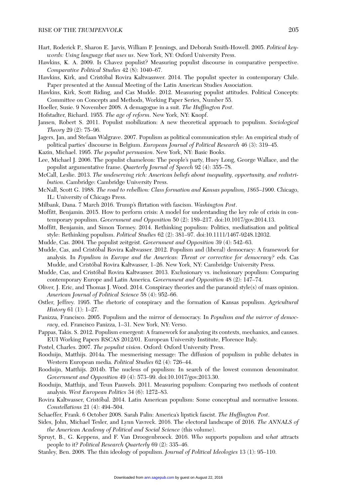- Hart, Roderick P., Sharon E. Jarvis, William P. Jennings, and Deborah Smith-Howell. 2005. *Political keywords: Using language that uses us*. New York, NY: Oxford University Press.
- Hawkins, K. A. 2009. Is Chavez populist? Measuring populist discourse in comparative perspective. *Comparative Political Studies* 42 (8): 1040–67.
- Hawkins, Kirk, and Cristóbal Rovira Kaltwasswer. 2014. The populist specter in contemporary Chile. Paper presented at the Annual Meeting of the Latin American Studies Association.
- Hawkins, Kirk, Scott Riding, and Cas Mudde. 2012. Measuring populist attitudes. Political Concepts: Committee on Concepts and Methods, Working Paper Series, Number 55.
- Hoeller, Susie. 9 November 2008. A demagogue in a suit. *The Huffington Post*.
- Hofstadter, Richard. 1955. *The age of reform*. New York, NY: Knopf.
- Jansen, Robert S. 2011. Populist mobilization: A new theoretical approach to populism. *Sociological Theory* 29 (2): 75–96.
- Jagers, Jan, and Stefaan Walgrave. 2007. Populism as political communication style: An empirical study of political parties' discourse in Belgium. *European Journal of Political Research* 46 (3): 319–45.
- Kazin, Michael. 1995. *The populist persuasion*. New York, NY: Basic Books.
- Lee, Michael J. 2006. The populist chameleon: The people's party, Huey Long, George Wallace, and the populist argumentative frame. *Quarterly Journal of Speech* 92 (4): 355–78.
- McCall, Leslie. 2013. *The undeserving rich: American beliefs about inequality, opportunity, and redistribution*. Cambridge: Cambridge University Press.
- McNall, Scott G. 1988. *The road to rebellion: Class formation and Kansas populism, 1865–1900*. Chicago, IL: University of Chicago Press.
- Milbank, Dana. 7 March 2016. Trump's flirtation with fascism. *Washington Post*.
- Moffitt, Benjamin. 2015. How to perform crisis: A model for understanding the key role of crisis in contemporary populism. *Government and Opposition* 50 (2): 189–217. doi:10.1017/gov.2014.13.
- Moffitt, Benjamin, and Simon Tormey. 2014. Rethinking populism: Politics, mediatisation and political style: Rethinking populism. *Political Studies* 62 (2): 381–97. doi:10.1111/1467-9248.12032.
- Mudde, Cas. 2004. The populist zeitgeist. *Government and Opposition* 39 (4): 542–63.
- Mudde, Cas, and Cristóbal Rovira Kaltwasser. 2012. Populism and (liberal) democracy: A framework for analysis. In *Populism in Europe and the Americas: Threat or corrective for democracy?* eds. Cas Mudde, and Cristóbal Rovira Kaltwasser, 1–26. New York, NY: Cambridge University Press.
- Mudde, Cas, and Cristóbal Rovira Kaltwasser. 2013. Exclusionary vs. inclusionary populism: Comparing contemporary Europe and Latin America. *Government and Opposition* 48 (2): 147–74.
- Oliver, J. Eric, and Thomas J. Wood. 2014. Conspiracy theories and the paranoid style(s) of mass opinion. *American Journal of Political Science* 58 (4): 952–66.
- Ostler, Jeffrey. 1995. The rhetoric of conspiracy and the formation of Kansas populism. *Agricultural History* 61 (1): 1–27.
- Panizza, Francisco. 2005. Populism and the mirror of democracy. In *Populism and the mirror of democracy*, ed. Francisco Panizza, 1–31. New York, NY: Verso.
- Pappas, Takis. S. 2012. Populism emergent: A framework for analyzing its contexts, mechanics, and causes. EUI Working Papers RSCAS 2012/01. European University Institute, Florence Italy.
- Postel, Charles. 2007. *The populist vision*. Oxford: Oxford University Press.
- Rooduijn, Matthijs. 2014a. The mesmerising message: The diffusion of populism in public debates in Western European media. *Political Studies* 62 (4): 726–44.
- Rooduijn, Matthijs. 2014b. The nucleus of populism: In search of the lowest common denominator. *Government and Opposition* 49 (4): 573–99. doi:10.1017/gov.2013.30.
- Rooduijn, Matthijs, and Teun Pauwels. 2011. Measuring populism: Comparing two methods of content analysis. *West European Politics* 34 (6): 1272–83.
- Rovira Kaltwasser, Cristóbal. 2014. Latin American populism: Some conceptual and normative lessons. *Constellations* 21 (4): 494–504.
- Schaeffer, Frank. 6 October 2008. Sarah Palin: America's lipstick fascist. *The Huffington Post*.
- Sides, John, Michael Tesler, and Lynn Vavreck. 2016. The electoral landscape of 2016. *The ANNALS of the American Academy of Political and Social Science* (this volume).
- Spruyt, B., G. Keppens, and F. Van Droogenbroeck. 2016. *Who* supports populism and *what* attracts people to it? *Political Research Quarterly* 69 (2): 335–46.
- Stanley, Ben. 2008. The thin ideology of populism. *Journal of Political Ideologies* 13 (1): 95–110.